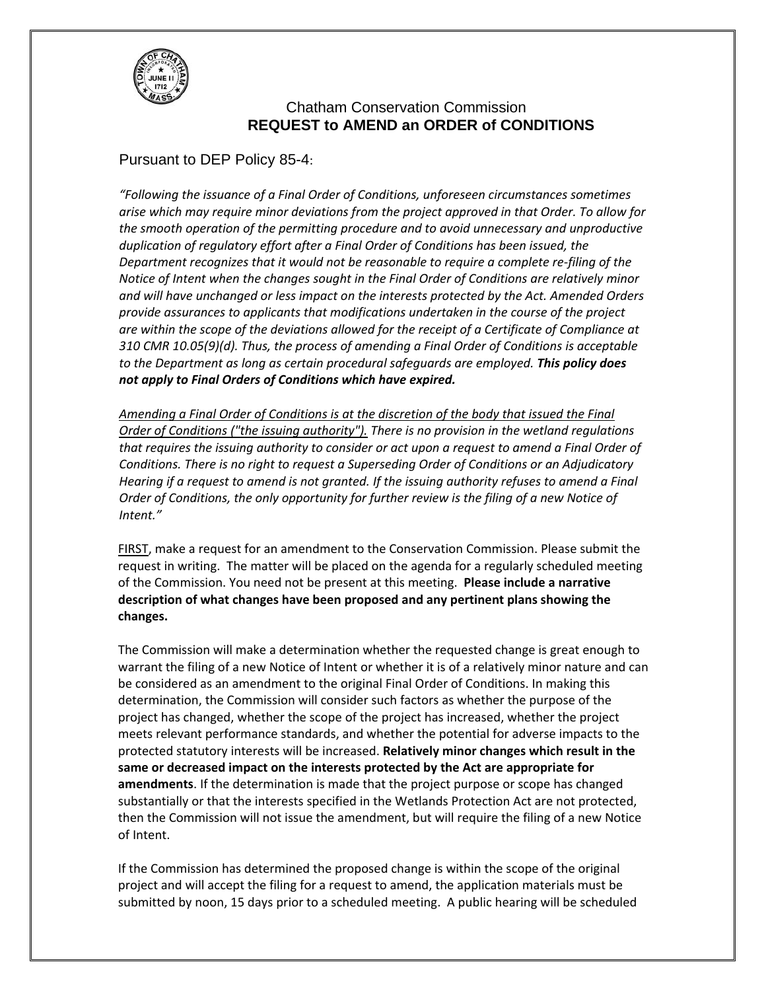

## Chatham Conservation Commission **REQUEST to AMEND an ORDER of CONDITIONS**

## Pursuant to DEP Policy 85-4:

*"Following the issuance of a Final Order of Conditions, unforeseen circumstances sometimes arise which may require minor deviations from the project approved in that Order. To allow for the smooth operation of the permitting procedure and to avoid unnecessary and unproductive duplication of regulatory effort after a Final Order of Conditions has been issued, the Department recognizes that it would not be reasonable to require a complete re‐filing of the Notice of Intent when the changes sought in the Final Order of Conditions are relatively minor and will have unchanged or less impact on the interests protected by the Act. Amended Orders provide assurances to applicants that modifications undertaken in the course of the project are within the scope of the deviations allowed for the receipt of a Certificate of Compliance at 310 CMR 10.05(9)(d). Thus, the process of amending a Final Order of Conditions is acceptable to the Department as long as certain procedural safeguards are employed. This policy does not apply to Final Orders of Conditions which have expired.*

*Amending a Final Order of Conditions is at the discretion of the body that issued the Final Order of Conditions ("the issuing authority"). There is no provision in the wetland regulations that requires the issuing authority to consider or act upon a request to amend a Final Order of Conditions. There is no right to request a Superseding Order of Conditions or an Adjudicatory Hearing if a request to amend is not granted. If the issuing authority refuses to amend a Final Order of Conditions, the only opportunity for further review is the filing of a new Notice of Intent."*

FIRST, make a request for an amendment to the Conservation Commission. Please submit the request in writing. The matter will be placed on the agenda for a regularly scheduled meeting of the Commission. You need not be present at this meeting. **Please include a narrative description of what changes have been proposed and any pertinent plans showing the changes.** 

The Commission will make a determination whether the requested change is great enough to warrant the filing of a new Notice of Intent or whether it is of a relatively minor nature and can be considered as an amendment to the original Final Order of Conditions. In making this determination, the Commission will consider such factors as whether the purpose of the project has changed, whether the scope of the project has increased, whether the project meets relevant performance standards, and whether the potential for adverse impacts to the protected statutory interests will be increased. **Relatively minor changes which result in the same or decreased impact on the interests protected by the Act are appropriate for amendments**. If the determination is made that the project purpose or scope has changed substantially or that the interests specified in the Wetlands Protection Act are not protected, then the Commission will not issue the amendment, but will require the filing of a new Notice of Intent.

If the Commission has determined the proposed change is within the scope of the original project and will accept the filing for a request to amend, the application materials must be submitted by noon, 15 days prior to a scheduled meeting. A public hearing will be scheduled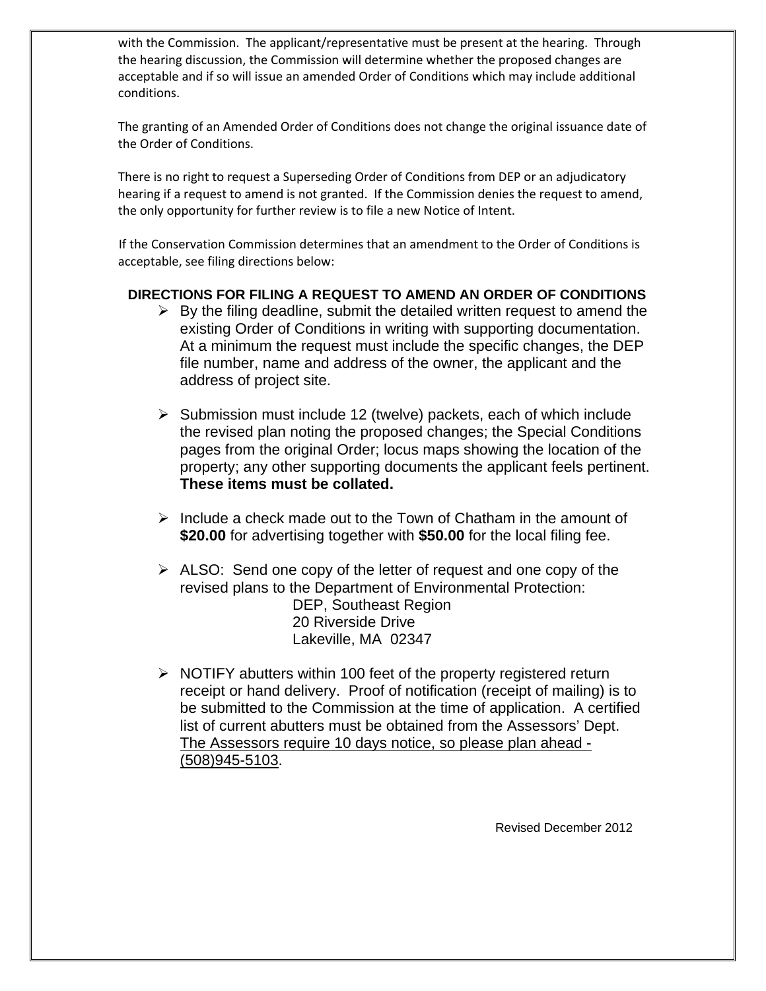with the Commission. The applicant/representative must be present at the hearing. Through the hearing discussion, the Commission will determine whether the proposed changes are acceptable and if so will issue an amended Order of Conditions which may include additional conditions.

The granting of an Amended Order of Conditions does not change the original issuance date of the Order of Conditions.

There is no right to request a Superseding Order of Conditions from DEP or an adjudicatory hearing if a request to amend is not granted. If the Commission denies the request to amend, the only opportunity for further review is to file a new Notice of Intent.

 If the Conservation Commission determines that an amendment to the Order of Conditions is acceptable, see filing directions below:

### **DIRECTIONS FOR FILING A REQUEST TO AMEND AN ORDER OF CONDITIONS**

- $\triangleright$  By the filing deadline, submit the detailed written request to amend the existing Order of Conditions in writing with supporting documentation. At a minimum the request must include the specific changes, the DEP file number, name and address of the owner, the applicant and the address of project site.
- $\triangleright$  Submission must include 12 (twelve) packets, each of which include the revised plan noting the proposed changes; the Special Conditions pages from the original Order; locus maps showing the location of the property; any other supporting documents the applicant feels pertinent. **These items must be collated.**
- $\triangleright$  Include a check made out to the Town of Chatham in the amount of **\$20.00** for advertising together with **\$50.00** for the local filing fee.
- $\triangleright$  ALSO: Send one copy of the letter of request and one copy of the revised plans to the Department of Environmental Protection: DEP, Southeast Region 20 Riverside Drive Lakeville, MA 02347
- $\triangleright$  NOTIFY abutters within 100 feet of the property registered return receipt or hand delivery. Proof of notification (receipt of mailing) is to be submitted to the Commission at the time of application. A certified list of current abutters must be obtained from the Assessors' Dept. The Assessors require 10 days notice, so please plan ahead - (508)945-5103.

Revised December 2012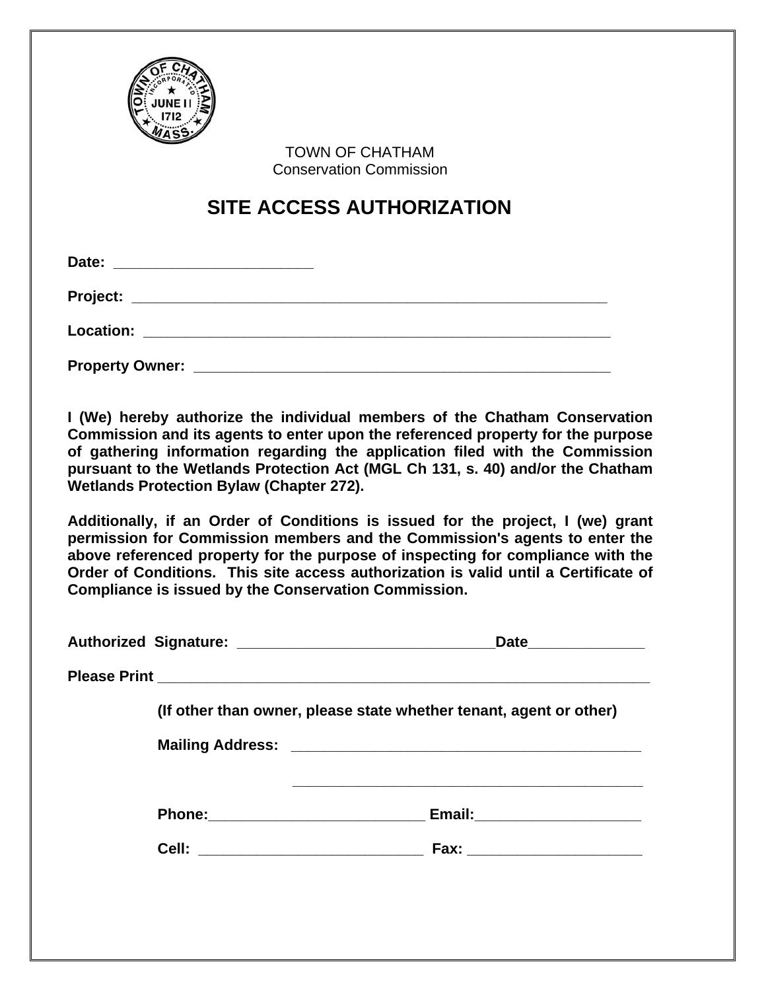

 TOWN OF CHATHAM Conservation Commission

# **SITE ACCESS AUTHORIZATION**

**I (We) hereby authorize the individual members of the Chatham Conservation Commission and its agents to enter upon the referenced property for the purpose of gathering information regarding the application filed with the Commission pursuant to the Wetlands Protection Act (MGL Ch 131, s. 40) and/or the Chatham Wetlands Protection Bylaw (Chapter 272).** 

**Additionally, if an Order of Conditions is issued for the project, I (we) grant permission for Commission members and the Commission's agents to enter the above referenced property for the purpose of inspecting for compliance with the Order of Conditions. This site access authorization is valid until a Certificate of Compliance is issued by the Conservation Commission.** 

|  | Date________________                                                    |
|--|-------------------------------------------------------------------------|
|  |                                                                         |
|  | (If other than owner, please state whether tenant, agent or other)      |
|  |                                                                         |
|  |                                                                         |
|  |                                                                         |
|  | Cell: _______________________________<br>Fax: _________________________ |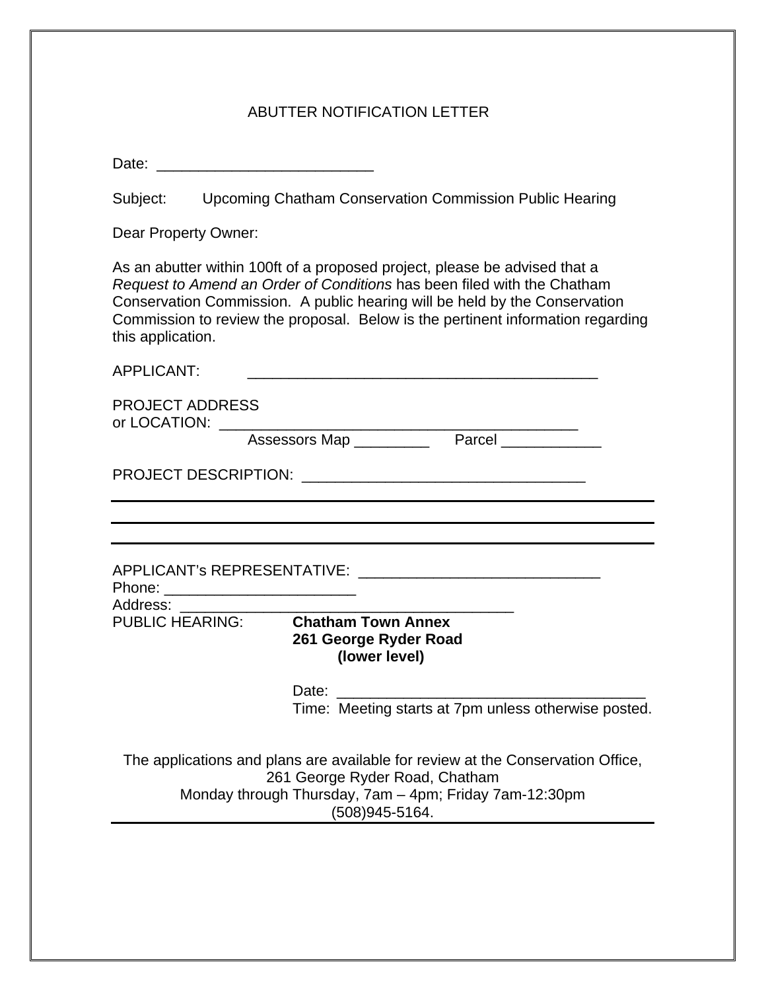## ABUTTER NOTIFICATION LETTER

Date:

Subject: Upcoming Chatham Conservation Commission Public Hearing

Dear Property Owner:

As an abutter within 100ft of a proposed project, please be advised that a *Request to Amend an Order of Conditions* has been filed with the Chatham Conservation Commission. A public hearing will be held by the Conservation Commission to review the proposal. Below is the pertinent information regarding this application.

| <b>APPLICANT:</b>      |                                                                                                                                                                                               |  |
|------------------------|-----------------------------------------------------------------------------------------------------------------------------------------------------------------------------------------------|--|
| <b>PROJECT ADDRESS</b> | or LOCATION: ____________________________                                                                                                                                                     |  |
|                        | Assessors Map Parcel                                                                                                                                                                          |  |
|                        |                                                                                                                                                                                               |  |
|                        |                                                                                                                                                                                               |  |
| Address:               |                                                                                                                                                                                               |  |
| <b>PUBLIC HEARING:</b> | <b>Chatham Town Annex</b><br>261 George Ryder Road<br>(lower level)                                                                                                                           |  |
|                        | Date:<br>Time: Meeting starts at 7pm unless otherwise posted.                                                                                                                                 |  |
|                        | The applications and plans are available for review at the Conservation Office,<br>261 George Ryder Road, Chatham<br>Monday through Thursday, 7am - 4pm; Friday 7am-12:30pm<br>(508)945-5164. |  |
|                        |                                                                                                                                                                                               |  |